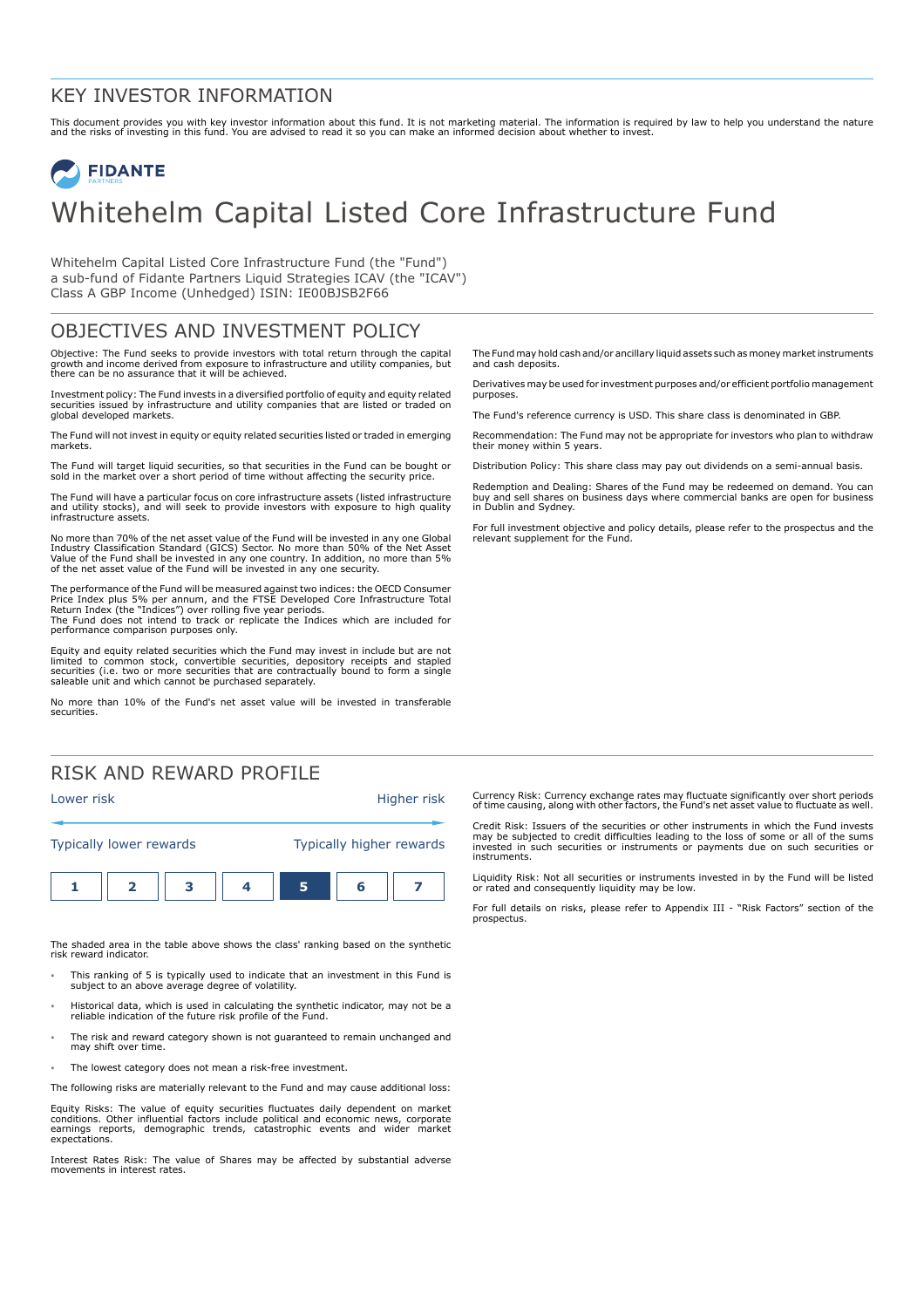#### KEY INVESTOR INFORMATION

This document provides you with key investor information about this fund. It is not marketing material. The information is required by law to help you understand the nature<br>and the risks of investing in this fund. You are

# **FIDANTE** Whitehelm Capital Listed Core Infrastructure Fund

Whitehelm Capital Listed Core Infrastructure Fund (the "Fund") a sub-fund of Fidante Partners Liquid Strategies ICAV (the "ICAV") Class A GBP Income (Unhedged) ISIN: IE00BJSB2F66

### OBJECTIVES AND INVESTMENT POLICY

Objective: The Fund seeks to provide investors with total return through the capital growth and income derived from exposure to infrastructure and utility companies, but there can be no assurance that it will be achieved.

Investment policy: The Fund invests in a diversified portfolio of equity and equity related securities issued by infrastructure and utility companies that are listed or traded on global developed markets.

The Fund will not invest in equity or equity related securities listed or traded in emerging markets.

The Fund will target liquid securities, so that securities in the Fund can be bought or sold in the market over a short period of time without affecting the security price.

The Fund will have a particular focus on core infrastructure assets (listed infrastructure and utility stocks), and will seek to provide investors with exposure to high quality infrastructure assets.

No more than 70% of the net asset value of the Fund will be invested in any one Global Industry Classification Standard (GICS) Sector. No more than 50% of the Net Asset<br>Value of the Fund shall be invested in any one country. In addition, no more than 5%<br>of the net asset value of the Fund will be invested in

The performance of the Fund will be measured against two indices: the OECD Consumer Price Index plus 5% per annum, and the FTSE Developed Core Infrastructure Total<br>Return Index (the "Indices") over rolling five year periods.<br>The Fund does not intend to track or replicate the Indices which are included for performance comparison purposes only.

Equity and equity related securities which the Fund may invest in include but are not limited to common stock, convertible securities, depository receipts and stapled securities (i.e. two or more securities that are contractually bound to form a single saleable unit and which cannot be purchased separately.

No more than 10% of the Fund's net asset value will be invested in transferable securities.

## RISK AND REWARD PROFILE



The shaded area in the table above shows the class' ranking based on the synthetic risk reward indicator.

- 1 This ranking of 5 is typically used to indicate that an investment in this Fund is subject to an above average degree of volatility.
- 1 Historical data, which is used in calculating the synthetic indicator, may not be a reliable indication of the future risk profile of the Fund.
- The risk and reward category shown is not guaranteed to remain unchanged and may shift over time.
- The lowest category does not mean a risk-free investment.

The following risks are materially relevant to the Fund and may cause additional loss:

Equity Risks: The value of equity securities fluctuates daily dependent on market conditions. Other influential factors include political and economic news, corporate earnings reports, demographic trends, catastrophic events and wider market expectations.

Interest Rates Risk: The value of Shares may be affected by substantial adverse movements in interest rates.

The Fund may hold cash and/or ancillary liquid assets such as money market instruments and cash deposits.

Derivatives may be used for investment purposes and/or efficient portfolio management purposes.

The Fund's reference currency is USD. This share class is denominated in GBP.

Recommendation: The Fund may not be appropriate for investors who plan to withdraw their money within 5 years.

Distribution Policy: This share class may pay out dividends on a semi-annual basis.

Redemption and Dealing: Shares of the Fund may be redeemed on demand. You can buy and sell shares on business days where commercial banks are open for business in Dublin and Sydney.

For full investment objective and policy details, please refer to the prospectus and the relevant supplement for the Fund.

Currency Risk: Currency exchange rates may fluctuate significantly over short periods of time causing, along with other factors, the Fund's net asset value to fluctuate as well.

Credit Risk: Issuers of the securities or other instruments in which the Fund invests may be subjected to credit difficulties leading to the loss of some or all of the sums invested in such securities or instruments or payments due on such securities or instruments.

Liquidity Risk: Not all securities or instruments invested in by the Fund will be listed or rated and consequently liquidity may be low.

For full details on risks, please refer to Appendix III - "Risk Factors" section of the prospectus.